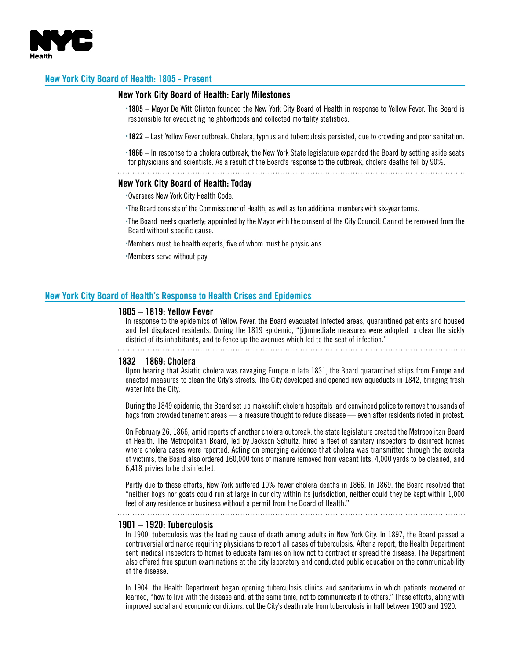

# **New York City Board of Health: 1805 - Present**

# **New York City Board of Health: Early Milestones**

- **.1805** Mayor De Witt Clinton founded the New York City Board of Health in response to Yellow Fever. The Board is responsible for evacuating neighborhoods and collected mortality statistics.
- **.1822** Last Yellow Fever outbreak. Cholera, typhus and tuberculosis persisted, due to crowding and poor sanitation.
- **.1866** In response to a cholera outbreak, the New York State legislature expanded the Board by setting aside seats for physicians and scientists. As a result of the Board's response to the outbreak, cholera deaths fell by 90%.

# **New York City Board of Health: Today .**Oversees New York City Health Code.

- 
- **.**The Board consists of the Commissioner of Health, as well as ten additional members with six-year terms.
- **.**The Board meets quarterly; appointed by the Mayor with the consent of the City Council. Cannot be removed from the Board without specific cause.
- **.**Members must be health experts, five of whom must be physicians.
- **.**Members serve without pay.

## **New York City Board of Health's Response to Health Crises and Epidemics**

## **1805 – 1819: Yellow Fever**

In response to the epidemics of Yellow Fever, the Board evacuated infected areas, quarantined patients and housed and fed displaced residents. During the 1819 epidemic, "[i]mmediate measures were adopted to clear the sickly district of its inhabitants, and to fence up the avenues which led to the seat of infection."

# **1832 – 1869: Cholera**

Upon hearing that Asiatic cholera was ravaging Europe in late 1831, the Board quarantined ships from Europe and enacted measures to clean the City's streets. The City developed and opened new aqueducts in 1842, bringing fresh water into the City.

During the 1849 epidemic, the Board set up makeshift cholera hospitals and convinced police to remove thousands of hogs from crowded tenement areas — a measure thought to reduce disease — even after residents rioted in protest.

On February 26, 1866, amid reports of another cholera outbreak, the state legislature created the Metropolitan Board of Health. The Metropolitan Board, led by Jackson Schultz, hired a fleet of sanitary inspectors to disinfect homes where cholera cases were reported. Acting on emerging evidence that cholera was transmitted through the excreta of victims, the Board also ordered 160,000 tons of manure removed from vacant lots, 4,000 yards to be cleaned, and 6,418 privies to be disinfected.

Partly due to these efforts, New York suffered 10% fewer cholera deaths in 1866. In 1869, the Board resolved that "neither hogs nor goats could run at large in our city within its jurisdiction, neither could they be kept within 1,000 feet of any residence or business without a permit from the Board of Health."

### **1901 – 1920: Tuberculosis**

In 1900, tuberculosis was the leading cause of death among adults in New York City. In 1897, the Board passed a controversial ordinance requiring physicians to report all cases of tuberculosis. After a report, the Health Department sent medical inspectors to homes to educate families on how not to contract or spread the disease. The Department also offered free sputum examinations at the city laboratory and conducted public education on the communicability of the disease.

In 1904, the Health Department began opening tuberculosis clinics and sanitariums in which patients recovered or learned, "how to live with the disease and, at the same time, not to communicate it to others." These efforts, along with improved social and economic conditions, cut the City's death rate from tuberculosis in half between 1900 and 1920.